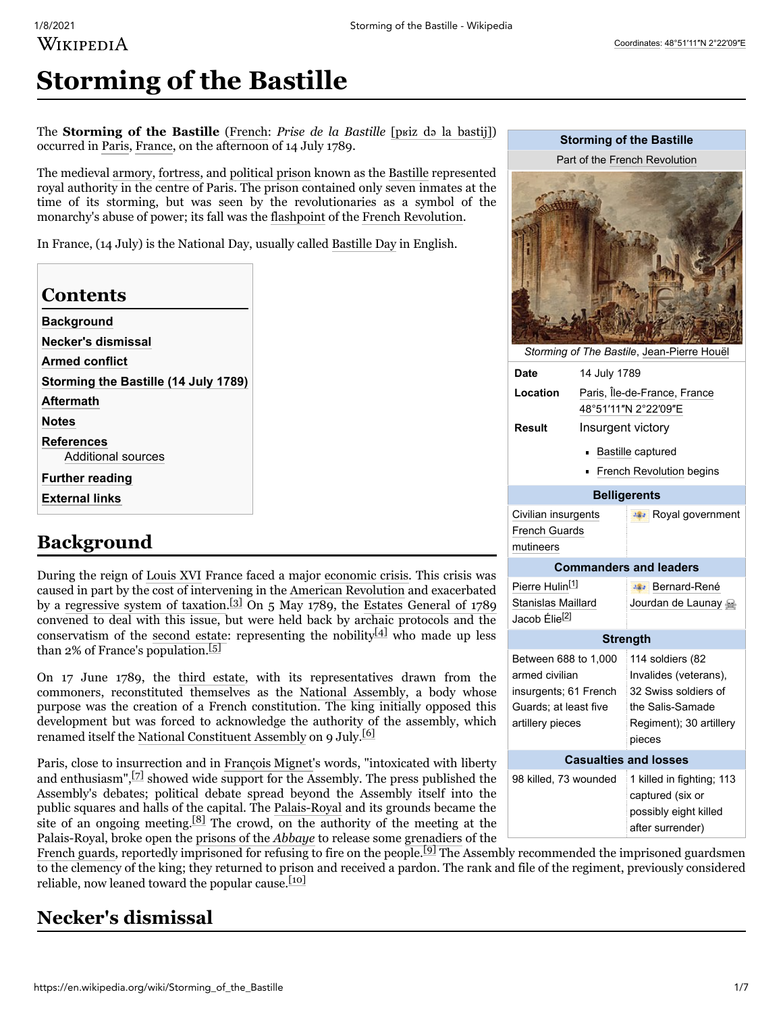### [Coordinates:](https://en.wikipedia.org/wiki/Geographic_coordinate_system) [48°51′11″N](https://geohack.toolforge.org/geohack.php?pagename=Storming_of_the_Bastille¶ms=48_51_11_N_2_22_09_E_region:FR-J_type:landmark) 2°22′09″E

# WIKIPEDIA

# **Storming of the Bastille**

The **Storming of the Bastille** ([French:](https://en.wikipedia.org/wiki/French_language) *Prise de la Bastille* [pʁiz də [la bastij\]\)](https://en.wikipedia.org/wiki/Help:IPA/French) occurred in [Paris](https://en.wikipedia.org/wiki/Paris), [France](https://en.wikipedia.org/wiki/France), on the afternoon of 14 July 1789.

The medieval [armory](https://en.wikipedia.org/wiki/Arsenal), [fortress,](https://en.wikipedia.org/wiki/Fortress) and [political prison](https://en.wikipedia.org/wiki/Political_prisoner) known as the [Bastille](https://en.wikipedia.org/wiki/Bastille) represented royal authority in the centre of Paris. The prison contained only seven inmates at the time of its storming, but was seen by the revolutionaries as a symbol of the monarchy's abuse of power; its fall was the [flashpoint](https://en.wikipedia.org/wiki/Flashpoint_(politics)) of the [French Revolution.](https://en.wikipedia.org/wiki/French_Revolution)

In France, (14 July) is the National Day, usually called [Bastille Day](https://en.wikipedia.org/wiki/Bastille_Day) in English.

### **Contents**

**[Background](#page-0-0) [Necker's dismissal](#page-0-1) [Armed conflict](#page-1-0) [Storming the Bastille \(14 July 1789\)](#page-1-1) [Aftermath](#page-3-0) [Notes](#page-4-2) [References](#page-4-3)** [Additional sources](#page-6-0) **[Further reading](#page-6-1) [External links](#page-6-2)**

## <span id="page-0-0"></span>**Background**

During the reign of [Louis XVI](https://en.wikipedia.org/wiki/Louis_XVI_of_France) France faced a major [economic crisis.](https://en.wikipedia.org/wiki/Inflation) This crisis was caused in part by the cost of intervening in the [American Revolution](https://en.wikipedia.org/wiki/France_in_the_American_Revolutionary_War) and exacerbated by a [regressive system of taxation](https://en.wikipedia.org/wiki/Regressive_tax).<sup>[\[3\]](#page-4-4)</sup> On 5 May 1789, the [Estates General of 1789](https://en.wikipedia.org/wiki/Estates_General_of_1789) convened to deal with this issue, but were held back by archaic protocols and the conservatism of the [second estate](https://en.wikipedia.org/wiki/Estates_of_the_realm#In_France): representing the nobility<sup>[\[4\]](#page-4-5)</sup> who made up les than 2% of France's population.<sup>[\[5\]](#page-4-6)</sup>

On 17 June 1789, the [third estate,](https://en.wikipedia.org/wiki/Estates_of_the_realm#In_France) with its representatives drawn from the commoners, reconstituted themselves as the [National Assembly,](https://en.wikipedia.org/wiki/National_Assembly_(French_Revolution)) a body whose purpose was the creation of a French constitution. The king initially opposed thi development but was forced to acknowledge the authority of the assembly, which renamed itself the [National Constituent Assembly](https://en.wikipedia.org/wiki/National_Constituent_Assembly_(France)) on 9 July.<sup>[\[6\]](#page-4-7)</sup>

Paris, close to insurrection and in [François Mignet](https://en.wikipedia.org/wiki/Fran%C3%A7ois_Mignet)'s words, "intoxicated with libert and enthusiasm", $[7]$  showed wide support for the Assembly. The press published the Assembly's debates; political debate spread beyond the Assembly itself into the public squares and halls of the capital. The [Palais-Royal](https://en.wikipedia.org/wiki/Palais-Royal) and its grounds became the site of an ongoing meeting.<sup>[\[8\]](#page-4-9)</sup> The crowd, on the authority of the meeting at the Palais-Royal, broke open the [prisons of the](https://en.wikipedia.org/wiki/Prison_de_l%27Abbaye) *Abbaye* to release some [grenadiers](https://en.wikipedia.org/wiki/Grenadiers) of the

[French guards](https://en.wikipedia.org/wiki/Gardes_Fran%C3%A7aises), reportedly imprisoned for refusing to fire on the people.<sup>[\[9\]](#page-4-10)</sup> The Assembly recommended the imprisoned guardsmen to the clemency of the king; they returned to prison and received a pardon. The rank and file of the regiment, previously considered reliable, now leaned toward the popular cause. $[10]$ 

## <span id="page-0-1"></span>**Necker's dismissal**

|                                                                                                                               |                                                      | <b>Storming of the Bastille</b>                                                                        |
|-------------------------------------------------------------------------------------------------------------------------------|------------------------------------------------------|--------------------------------------------------------------------------------------------------------|
| Part of the French Revolution                                                                                                 |                                                      |                                                                                                        |
|                                                                                                                               |                                                      |                                                                                                        |
| Date                                                                                                                          | 14 July 1789                                         | Storming of The Bastile, Jean-Pierre Houël                                                             |
| Location                                                                                                                      | Paris, Île-de-France, France<br>48°51'11"N 2°22'09"E |                                                                                                        |
| Result                                                                                                                        | Insurgent victory                                    |                                                                                                        |
|                                                                                                                               |                                                      | Bastille captured                                                                                      |
|                                                                                                                               |                                                      | French Revolution begins                                                                               |
|                                                                                                                               |                                                      | <b>Belligerents</b>                                                                                    |
| Civilian insurgents<br><b>French Guards</b><br>mutineers                                                                      |                                                      | - <sup>*</sup> Royal government                                                                        |
| <b>Commanders and leaders</b>                                                                                                 |                                                      |                                                                                                        |
| Pierre Hulin <sup>[1]</sup><br>Stanislas Maillard<br>Jacob Élie <sup>[2]</sup>                                                |                                                      | <b>Bernard-René</b><br>Jourdan de Launay                                                               |
|                                                                                                                               |                                                      | <b>Strength</b>                                                                                        |
| Between 688 to 1,000 114 soldiers (82<br>armed civilian<br>insurgents; 61 French<br>Guards; at least five<br>artillery pieces |                                                      | Invalides (veterans),<br>32 Swiss soldiers of<br>the Salis-Samade<br>Regiment); 30 artillery<br>pieces |
| <b>Casualties and losses</b>                                                                                                  |                                                      |                                                                                                        |
| 98 killed, 73 wounded                                                                                                         |                                                      | 1 killed in fighting; 113<br>captured (six or<br>possibly eight killed<br>after surrender)             |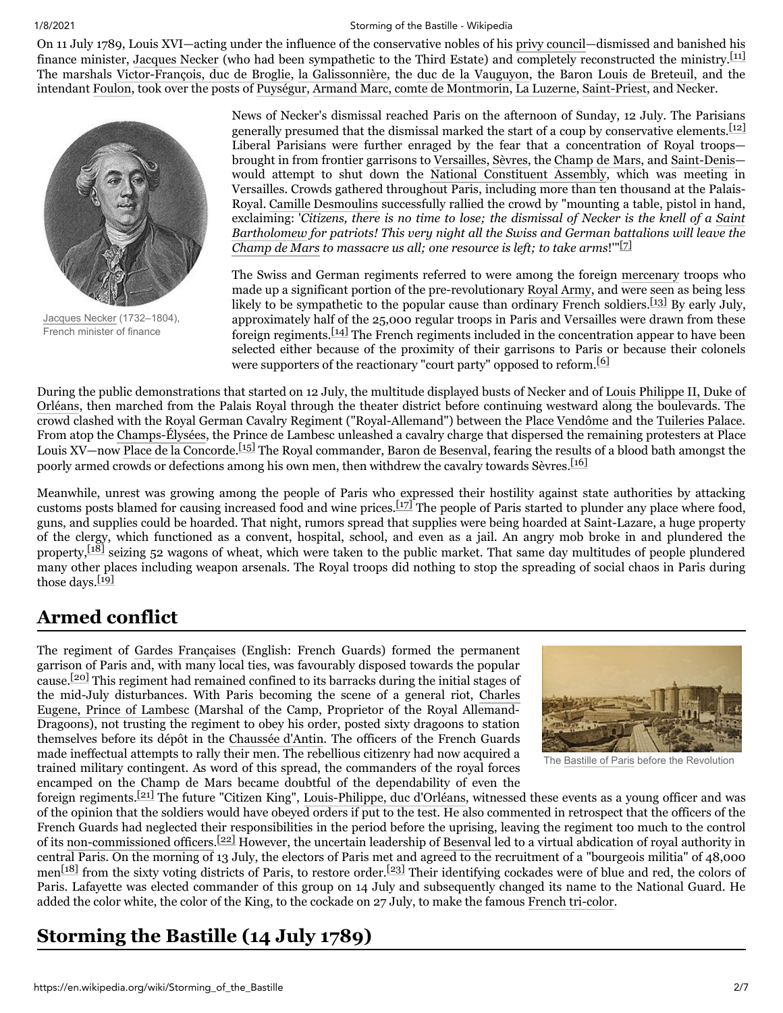On 11 July 1789, Louis XVI—acting under the influence of the conservative nobles of his [privy council—](https://en.wikipedia.org/wiki/Privy_council)dismissed and banished his finance minister, [Jacques Necker](https://en.wikipedia.org/wiki/Jacques_Necker) (who had been sympathetic to the Third Estate) and completely reconstructed the ministry.<sup>[\[11\]](#page-4-12)</sup> The marshals [Victor-François, duc de Broglie,](https://en.wikipedia.org/wiki/Victor-Fran%C3%A7ois,_2nd_duc_de_Broglie) [la Galissonnière](https://en.wikipedia.org/wiki/La_Galissonni%C3%A8re), the [duc de la Vauguyon](https://en.wikipedia.org/wiki/Paul_Fran%C3%A7ois_de_Quelen,_duc_de_la_Vauguyon), the Baron [Louis de Breteuil](https://en.wikipedia.org/wiki/Louis_Auguste_Le_Tonnelier_de_Breteuil), and the intendant [Foulon,](https://en.wikipedia.org/wiki/Foulon) took over the posts of [Puységur](https://en.wikipedia.org/wiki/Louis_Pierre_de_Chastenet_de_Puys%C3%A9gur), [Armand Marc, comte de Montmorin,](https://en.wikipedia.org/wiki/Armand_Marc,_comte_de_Montmorin) [La Luzerne,](https://en.wikipedia.org/wiki/C%C3%A9sar_Guillaume_de_La_Luzerne) [Saint-Priest,](https://en.wikipedia.org/wiki/Fran%C3%A7ois-Emmanuel_Guignard,_comte_de_Saint-Priest) and Necker.



[Jacques](https://en.wikipedia.org/wiki/Jacques_Necker) Necker (1732–1804), French minister of finance

News of Necker's dismissal reached Paris on the afternoon of Sunday, 12 July. The Parisians generally presumed that the dismissal marked the start of a coup by conservative elements.<sup>[\[12\]](#page-4-13)</sup> Liberal Parisians were further enraged by the fear that a concentration of Royal troops brought in from frontier garrisons to [Versailles,](https://en.wikipedia.org/wiki/Palace_of_Versailles) [Sèvres](https://en.wikipedia.org/wiki/S%C3%A8vres), the [Champ de Mars,](https://en.wikipedia.org/wiki/Champ_de_Mars) and [Saint-Denis](https://en.wikipedia.org/wiki/Saint-Denis,_Seine-Saint-Denis) would attempt to shut down the [National Constituent Assembly,](https://en.wikipedia.org/wiki/National_Constituent_Assembly_(France)) which was meeting in Versailles. Crowds gathered throughout Paris, including more than ten thousand at the Palais-Royal. [Camille Desmoulins](https://en.wikipedia.org/wiki/Camille_Desmoulins) successfully rallied the crowd by "mounting a table, pistol in hand, exclaiming: '*[Citizens, there is no time to lose; the dismissal of Necker is the knell of a Saint](https://en.wikipedia.org/wiki/St._Bartholomew%27s_Day_Massacre) Bartholomew for patriots! This very night all the Swiss and German battalions will leave the [Champ de Mars](https://en.wikipedia.org/wiki/Champ_de_Mars,_Paris) to massacre us all; one resource is left; to take arms*!'"[\[7\]](#page-4-8)

The Swiss and German regiments referred to were among the foreign [mercenary](https://en.wikipedia.org/wiki/Mercenary) troops who made up a significant portion of the pre-revolutionary [Royal Army](https://en.wikipedia.org/wiki/Arm%C3%A9e_Fran%C3%A7aise), and were seen as being less likely to be sympathetic to the popular cause than ordinary French soldiers.<sup>[\[13\]](#page-4-14)</sup> By early July, approximately half of the 25,000 regular troops in Paris and Versailles were drawn from these foreign regiments.[\[14\]](#page-4-15) The French regiments included in the concentration appear to have been selected either because of the proximity of their garrisons to Paris or because their colonels were supporters of the reactionary "court party" opposed to reform.<sup>[\[6\]](#page-4-7)</sup>

[During the public demonstrations that started on 12 July, the multitude displayed busts of Necker and of Louis Philippe II, Duke of](https://en.wikipedia.org/wiki/Louis_Philippe_II,_Duke_of_Orl%C3%A9ans) Orléans, then marched from the Palais Royal through the theater district before continuing westward along the boulevards. The crowd clashed with the Royal German Cavalry Regiment ("Royal-Allemand") between the [Place Vendôme](https://en.wikipedia.org/wiki/Place_Vend%C3%B4me) and the [Tuileries Palace](https://en.wikipedia.org/wiki/Tuileries_Palace). From atop the [Champs-Élysées](https://en.wikipedia.org/wiki/Champs-%C3%89lys%C3%A9es), the Prince de Lambesc unleashed a cavalry charge that dispersed the remaining protesters at Place Louis XV—now [Place de la Concorde](https://en.wikipedia.org/wiki/Place_de_la_Concorde). [\[15\]](#page-4-16) The Royal commander, [Baron de Besenval,](https://en.wikipedia.org/wiki/Pierre_Victor_Besenval_de_Bronstatt) fearing the results of a blood bath amongst the poorly armed crowds or defections among his own men, then withdrew the cavalry towards Sèvres.<sup>[\[16\]](#page-4-17)</sup>

Meanwhile, unrest was growing among the people of Paris who expressed their hostility against state authorities by attacking customs posts blamed for causing increased food and wine prices.[\[17\]](#page-4-18) The people of Paris started to plunder any place where food, guns, and supplies could be hoarded. That night, rumors spread that supplies were being hoarded at Saint-Lazare, a huge property of the clergy, which functioned as a convent, hospital, school, and even as a jail. An angry mob broke in and plundered the property,  $[18]$  seizing 52 wagons of wheat, which were taken to the public market. That same day multitudes of people plundered many other places including weapon arsenals. The Royal troops did nothing to stop the spreading of social chaos in Paris during those days.<sup>[\[19\]](#page-4-20)</sup>

## <span id="page-1-0"></span>**Armed conflict**

The regiment of [Gardes Françaises](https://en.wikipedia.org/wiki/Gardes_Fran%C3%A7aises) (English: French Guards) formed the permanent garrison of Paris and, with many local ties, was favourably disposed towards the popular cause.[\[20\]](#page-5-0) This regiment had remained confined to its barracks during the initial stages of [the mid-July disturbances. With Paris becoming the scene of a general riot, Charles](https://en.wikipedia.org/wiki/Charles_Eugene,_Prince_of_Lambesc) Eugene, Prince of Lambesc (Marshal of the Camp, Proprietor of the Royal Allemand-Dragoons), not trusting the regiment to obey his order, posted sixty dragoons to station themselves before its dépôt in the [Chaussée d'Antin](https://en.wikipedia.org/wiki/Rue_de_la_Chauss%C3%A9e-d%27Antin). The officers of the French Guards made ineffectual attempts to rally their men. The rebellious citizenry had now acquired a trained military contingent. As word of this spread, the commanders of the royal forces encamped on the Champ de Mars became doubtful of the dependability of even the



The [Bastille](https://en.wikipedia.org/wiki/Bastille) of Paris before the Revolution

foreign regiments.[\[21\]](#page-5-1) The future "Citizen King", [Louis-Philippe, duc d'Orléans,](https://en.wikipedia.org/wiki/Louis-Philippe_of_France) witnessed these events as a young officer and was of the opinion that the soldiers would have obeyed orders if put to the test. He also commented in retrospect that the officers of the French Guards had neglected their responsibilities in the period before the uprising, leaving the regiment too much to the control of its [non-commissioned officers.](https://en.wikipedia.org/wiki/Non-commissioned_officer)<sup>[\[22\]](#page-5-2)</sup> However, the uncertain leadership of [Besenval](https://en.wikipedia.org/wiki/Pierre_Victor_Besenval_de_Bronstatt) led to a virtual abdication of royal authority in central Paris. On the morning of 13 July, the electors of Paris met and agreed to the recruitment of a "bourgeois militia" of 48,000 men<sup>[\[18\]](#page-4-19)</sup> from the sixty voting districts of Paris, to restore order.<sup>[\[23\]](#page-5-3)</sup> Their identifying cockades were of blue and red, the colors of Paris. Lafayette was elected commander of this group on 14 July and subsequently changed its name to the National Guard. He added the color white, the color of the King, to the cockade on 27 July, to make the famous [French tri-color.](https://en.wikipedia.org/wiki/Symbolism_in_the_French_Revolution)

## <span id="page-1-1"></span>**Storming the Bastille (14 July 1789)**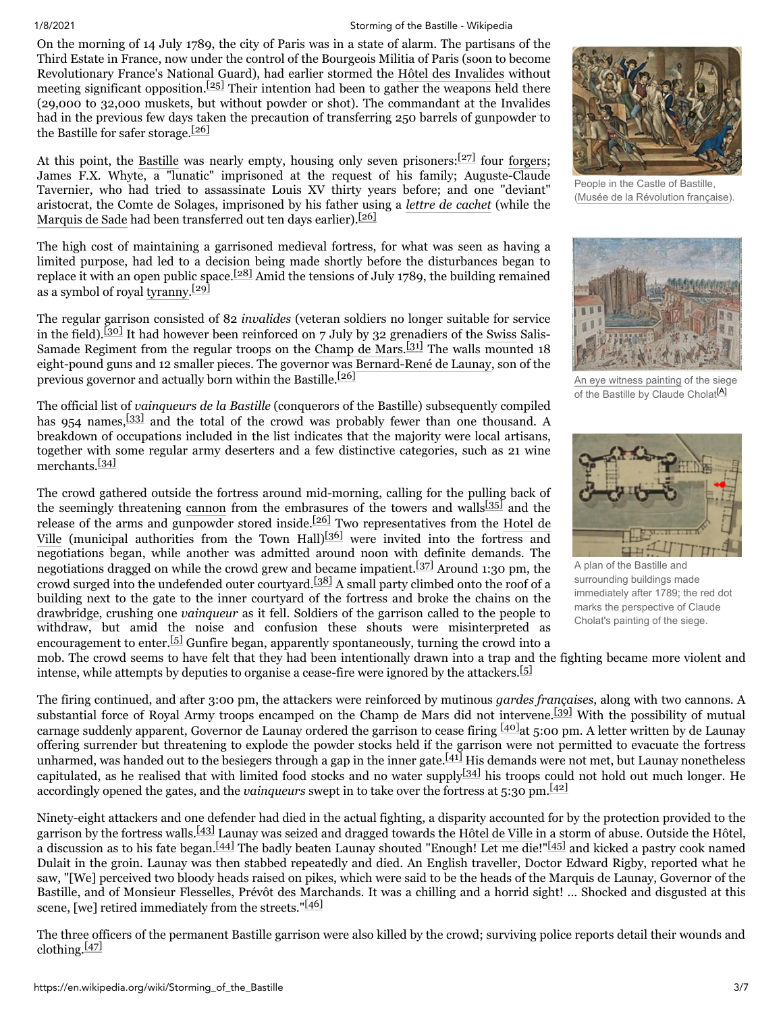On the morning of 14 July 1789, the city of Paris was in a state of alarm. The partisans of the Third Estate in France, now under the control of the Bourgeois Militia of Paris (soon to become Revolutionary France's National Guard), had earlier stormed the [Hôtel des Invalides](https://en.wikipedia.org/wiki/Les_Invalides) without meeting significant opposition.<sup>[\[25\]](#page-5-4)</sup> Their intention had been to gather the weapons held there (29,000 to 32,000 muskets, but without powder or shot). The commandant at the Invalides had in the previous few days taken the precaution of transferring 250 barrels of gunpowder to the Bastille for safer storage. $[26]$ 

At this point, the [Bastille](https://en.wikipedia.org/wiki/Bastille) was nearly empty, housing only seven prisoners:  $[27]$  four [forgers](https://en.wikipedia.org/wiki/Forgery); James F.X. Whyte, a "lunatic" imprisoned at the request of his family; Auguste-Claude Tavernier, who had tried to assassinate Louis XV thirty years before; and one "deviant" aristocrat, the Comte de Solages, imprisoned by his father using a *[lettre de cachet](https://en.wikipedia.org/wiki/Lettres_de_cachet)* (while the [Marquis de Sade](https://en.wikipedia.org/wiki/Marquis_de_Sade) had been transferred out ten days earlier).<sup>[\[26\]](#page-5-5)</sup>

The high cost of maintaining a garrisoned medieval fortress, for what was seen as having a limited purpose, had led to a decision being made shortly before the disturbances began to replace it with an open public space.<sup>[\[28\]](#page-5-7)</sup> Amid the tensions of July 1789, the building remained as a symbol of royal [tyranny.](https://en.wikipedia.org/wiki/Tyrant)<sup>[\[29\]](#page-5-8)</sup>

The regular garrison consisted of 82 *invalides* (veteran soldiers no longer suitable for service in the field).<sup>[\[30\]](#page-5-9)</sup> It had however been reinforced on 7 July by 32 grenadiers of the [Swiss](https://en.wikipedia.org/wiki/Swiss_Mercenaries) Salis-Samade Regiment from the regular troops on the [Champ de Mars](https://en.wikipedia.org/wiki/Champ_de_Mars).  $[31]$  The walls mounted 18 eight-pound guns and 12 smaller pieces. The governor was [Bernard-René de Launay,](https://en.wikipedia.org/wiki/Bernard-Ren%C3%A9_de_Launay) son of the previous governor and actually born within the Bastille.[\[26\]](#page-5-5)

The official list of *vainqueurs de la Bastille* (conquerors of the Bastille) subsequently compiled has 954 names,  $\frac{[33]}{[33]}$  $\frac{[33]}{[33]}$  $\frac{[33]}{[33]}$  and the total of the crowd was probably fewer than one thousand. A breakdown of occupations included in the list indicates that the majority were local artisans, together with some regular army deserters and a few distinctive categories, such as 21 wine merchants.[\[34\]](#page-5-12)

The crowd gathered outside the fortress around mid-morning, calling for the pulling back of the seemingly threatening [cannon](https://en.wikipedia.org/wiki/Cannon) from the embrasures of the towers and walls<sup>[\[35\]](#page-5-13)</sup> and the release of the arms and gunpowder stored inside.<sup>[\[26\]](#page-5-5)</sup> Two representatives from the Hotel de Ville [\(municipal authorities from the Town Hall\)](https://en.wikipedia.org/wiki/H%C3%B4tel_de_Ville,_Paris)<sup>[\[36\]](#page-5-14)</sup> were invited into the fortress and negotiations began, while another was admitted around noon with definite demands. The negotiations dragged on while the crowd grew and became impatient.[\[37\]](#page-5-15) Around 1:30 pm, the crowd surged into the undefended outer courtyard.[\[38\]](#page-5-16) A small party climbed onto the roof of a building next to the gate to the inner courtyard of the fortress and broke the chains on the [drawbridge,](https://en.wikipedia.org/wiki/Drawbridge) crushing one *vainqueur* as it fell. Soldiers of the garrison called to the people to withdraw, but amid the noise and confusion these shouts were misinterpreted as encouragement to enter.<sup>[\[5\]](#page-4-6)</sup> Gunfire began, apparently spontaneously, turning the crowd into a



People in the Castle of Bastille, (Musée de la [Révolution](https://en.wikipedia.org/wiki/Mus%C3%A9e_de_la_R%C3%A9volution_fran%C3%A7aise) française).



An eye witness [painting](https://en.wikipedia.org/wiki/Siege_of_the_Bastille_(Cholat)) of the siege of the Bastille by Claude Cholat<sup>[\[A\]](#page-4-21)</sup>



A plan of the Bastille and surrounding buildings made immediately after 1789; the red dot marks the perspective of Claude Cholat's painting of the siege.

mob. The crowd seems to have felt that they had been intentionally drawn into a trap and the fighting became more violent and intense, while attempts by deputies to organise a cease-fire were ignored by the attackers.<sup>[\[5\]](#page-4-6)</sup>

The firing continued, and after 3:00 pm, the attackers were reinforced by mutinous *gardes françaises*, along with two cannons. A substantial force of Royal Army troops encamped on the Champ de Mars did not intervene.<sup>[\[39\]](#page-5-17)</sup> With the possibility of mutual carnage suddenly apparent, Governor de Launay ordered the garrison to cease firing  $[40]$ at 5:00 pm. A letter written by de Launay offering surrender but threatening to explode the powder stocks held if the garrison were not permitted to evacuate the fortress unharmed, was handed out to the besiegers through a gap in the inner gate. $[41]$  His demands were not met, but Launay nonetheless capitulated, as he realised that with limited food stocks and no water supply $[34]$  his troops could not hold out much longer. He accordingly opened the gates, and the *vainqueurs* swept in to take over the fortress at 5:30 pm.[\[42\]](#page-5-20)

Ninety-eight attackers and one defender had died in the actual fighting, a disparity accounted for by the protection provided to the garrison by the fortress walls.<sup>[\[43\]](#page-5-21)</sup> Launay was seized and dragged towards the [Hôtel de Ville](https://en.wikipedia.org/wiki/H%C3%B4tel_de_Ville,_Paris) in a storm of abuse. Outside the Hôtel, a discussion as to his fate began.<sup>[\[44\]](#page-5-22)</sup> The badly beaten Launay shouted "Enough! Let me die!"<sup>[\[45\]](#page-5-23)</sup> and kicked a pastry cook named Dulait in the groin. Launay was then stabbed repeatedly and died. An English traveller, Doctor Edward Rigby, reported what he saw, "[We] perceived two bloody heads raised on pikes, which were said to be the heads of the Marquis de Launay, Governor of the Bastille, and of Monsieur Flesselles, Prévôt des Marchands. It was a chilling and a horrid sight! ... Shocked and disgusted at this scene, [we] retired immediately from the streets." $[46]$ 

The three officers of the permanent Bastille garrison were also killed by the crowd; surviving police reports detail their wounds and clothing. $[47]$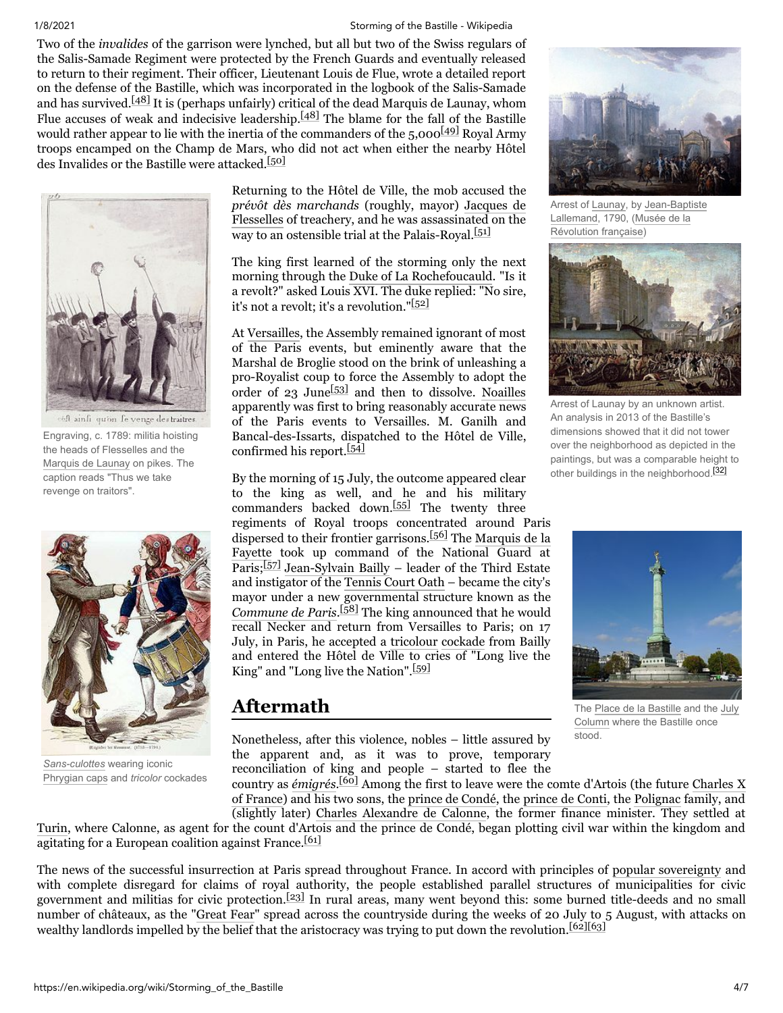Two of the *invalides* of the garrison were lynched, but all but two of the Swiss regulars of the Salis-Samade Regiment were protected by the French Guards and eventually released to return to their regiment. Their officer, Lieutenant Louis de Flue, wrote a detailed report on the defense of the Bastille, which was incorporated in the logbook of the Salis-Samade and has survived.<sup>[48]</sup> It is (perhaps unfairly) critical of the dead Marquis de Launay, whom Flue accuses of weak and indecisive leadership. $[48]$  The blame for the fall of the Bastille would rather appear to lie with the inertia of the commanders of the  $5,000^{[49]}$  $5,000^{[49]}$  $5,000^{[49]}$  Royal Army troops encamped on the Champ de Mars, who did not act when either the nearby Hôtel des Invalides or the Bastille were attacked.<sup>[\[50\]](#page-5-28)</sup>



eft ainfi qu'on fe venge des traitres

Engraving, c. 1789: militia hoisting the heads of Flesselles and the [Marquis](https://en.wikipedia.org/wiki/Bernard-Ren%C3%A9_de_Launay) de Launay on pikes. The caption reads "Thus we take revenge on traitors".



*[Sans-culottes](https://en.wikipedia.org/wiki/Sans-culottes)* wearing iconic [Phrygian](https://en.wikipedia.org/wiki/Phrygian_cap) caps and *tricolor* cockades

Returning to the Hôtel de Ville, the mob accused the *prévôt dès marchands* (roughly, mayor) Jacques de Flesselles [of treachery, and he was assassinated on the](https://en.wikipedia.org/wiki/Jacques_de_Flesselles) way to an ostensible trial at the Palais-Royal. $[51]$ 

The king first learned of the storming only the next morning through the [Duke of La Rochefoucauld.](https://en.wikipedia.org/wiki/Fran%C3%A7ois_Alexandre_Fr%C3%A9d%C3%A9ric,_duc_de_la_Rochefoucauld-Liancourt) "Is it a revolt?" asked Louis XVI. The duke replied: "No sire, it's not a revolt: it's a revolution."<sup>[\[52\]](#page-5-30)</sup>

At [Versailles,](https://en.wikipedia.org/wiki/Palace_of_Versailles) the Assembly remained ignorant of most of the Paris events, but eminently aware that the Marshal de Broglie stood on the brink of unleashing a pro-Royalist coup to force the Assembly to adopt the order of  $23$  June<sup>[\[53\]](#page-5-31)</sup> and then to dissolve. [Noailles](https://en.wikipedia.org/wiki/Louis-Marie,_vicomte_de_Noailles) apparently was first to bring reasonably accurate news of the Paris events to Versailles. M. Ganilh and Bancal-des-Issarts, dispatched to the Hôtel de Ville, confirmed his report.<sup>[\[54\]](#page-5-32)</sup>

By the morning of 15 July, the outcome appeared clear to the king as well, and he and his military commanders backed down.<sup>[\[55\]](#page-5-33)</sup> The twenty three

regiments of Royal troops concentrated around Paris dispersed to their frontier garrisons.<sup>[\[56\]](#page-5-34)</sup> The Marquis de la Fayette [took up command of the National Guard at](https://en.wikipedia.org/wiki/Marquis_de_la_Fayette) Paris;<sup>[\[57\]](#page-5-35)</sup> [Jean-Sylvain Bailly](https://en.wikipedia.org/wiki/Jean-Sylvain_Bailly) – leader of the Third Estate and instigator of the [Tennis Court Oath](https://en.wikipedia.org/wiki/Tennis_Court_Oath) – became the city's mayor under a new governmental structure known as the *[Commune de Paris](https://en.wikipedia.org/wiki/Paris_Commune_(French_Revolution))*. [\[58\]](#page-5-36) The king announced that he would recall Necker and return from Versailles to Paris; on 17 July, in Paris, he accepted a [tricolour](https://en.wikipedia.org/wiki/Flag_of_France) [cockade](https://en.wikipedia.org/wiki/Cockade) from Bailly and entered the Hôtel de Ville to cries of "Long live the King" and "Long live the Nation".<sup>[\[59\]](#page-5-37)</sup>

## <span id="page-3-0"></span>**Aftermath**

Nonetheless, after this violence, nobles – little assured by the apparent and, as it was to prove, temporary reconciliation of king and people – started to flee the

country as *[émigrés](https://en.wikipedia.org/wiki/%C3%89migr%C3%A9)*. [\[60\]](#page-5-38) [Among the first to leave were the comte d'Artois \(the future Charles X](https://en.wikipedia.org/wiki/Charles_X_of_France) of France) and his two sons, the [prince de Condé,](https://en.wikipedia.org/wiki/Louis_Joseph,_Prince_of_Cond%C3%A9) the [prince de Conti,](https://en.wikipedia.org/wiki/Louis_Fran%C3%A7ois_II,_Prince_of_Conti) the [Polignac](https://en.wikipedia.org/wiki/Gabrielle_de_Polastron,_duchesse_de_Polignac) family, and

(slightly later) [Charles Alexandre de Calonne,](https://en.wikipedia.org/wiki/Charles_Alexandre_de_Calonne) the former finance minister. They settled at [Turin,](https://en.wikipedia.org/wiki/Turin) where Calonne, as agent for the count d'Artois and the prince de Condé, began plotting civil war within the kingdom and agitating for a European coalition against France.<sup>[\[61\]](#page-5-39)</sup>

The news of the successful insurrection at Paris spread throughout France. In accord with principles of [popular sovereignty](https://en.wikipedia.org/wiki/Popular_sovereignty) and with complete disregard for claims of royal authority, the people established parallel structures of municipalities for civic government and militias for civic protection.[\[23\]](#page-5-3) In rural areas, many went beyond this: some burned title-deeds and no small number of châteaux, as the "[Great Fear](https://en.wikipedia.org/wiki/Great_Fear)" spread across the countryside during the weeks of 20 July to 5 August, with attacks on wealthy landlords impelled by the belief that the aristocracy was trying to put down the revolution.<sup>[\[62\]](#page-5-40)[\[63\]](#page-5-41)</sup>



Arrest of [Launay,](https://en.wikipedia.org/wiki/Bernard-Ren%C3%A9_de_Launay) by [Jean-Baptiste](https://en.wikipedia.org/wiki/Jean-Baptiste_Lallemand) [Lallemand,](https://en.wikipedia.org/wiki/Mus%C3%A9e_de_la_R%C3%A9volution_fran%C3%A7aise) 1790, (Musée de la Révolution française)



Arrest of Launay by an unknown artist. An analysis in 2013 of the Bastille's dimensions showed that it did not tower over the neighborhood as depicted in the paintings, but was a comparable height to other buildings in the neighborhood.<sup>[\[32\]](#page-5-26)</sup>



The Place de la [Bastille](https://en.wikipedia.org/wiki/Place_de_la_Bastille) and the July [Column](https://en.wikipedia.org/wiki/July_Column) where the Bastille once stood.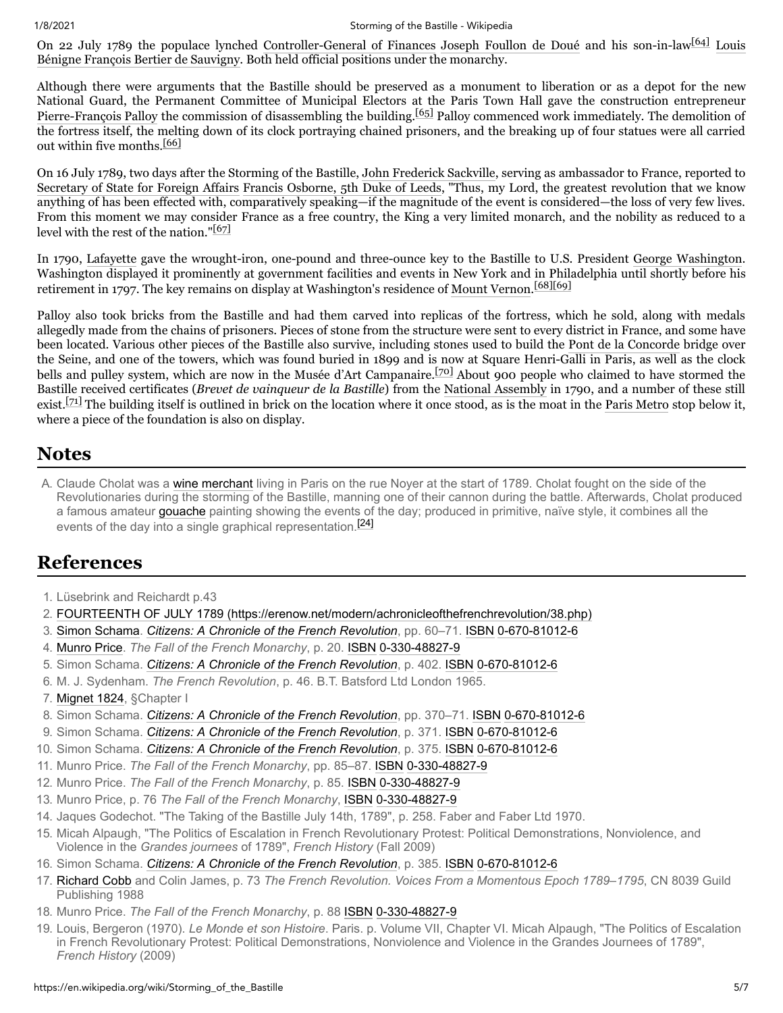On 22 July 1789 the populace lynched [Controller-General of Finances](https://en.wikipedia.org/wiki/Controller-General_of_Finances) [Joseph Foullon de Doué](https://en.wikipedia.org/wiki/Joseph_Foullon_de_Dou%C3%A9) and his son-in-law  $[64]$  Louis [Bénigne François Bertier de Sauvigny. Both held official positions under the monarchy.](https://en.wikipedia.org/wiki/Louis_B%C3%A9nigne_Fran%C3%A7ois_Bertier_de_Sauvigny)

Although there were arguments that the Bastille should be preserved as a monument to liberation or as a depot for the new National Guard, the Permanent Committee of Municipal Electors at the Paris Town Hall gave the construction entrepreneur [Pierre-François Palloy](https://en.wikipedia.org/wiki/Pierre-Fran%C3%A7ois_Palloy) the commission of disassembling the building.<sup>[\[65\]](#page-5-43)</sup> Palloy commenced work immediately. The demolition of the fortress itself, the melting down of its clock portraying chained prisoners, and the breaking up of four statues were all carried out within five months  $[66]$ 

On 16 July 1789, two days after the Storming of the Bastille, [John Frederick Sackville,](https://en.wikipedia.org/wiki/John_Frederick_Sackville) serving as ambassador to France, reported to [Secretary of State for Foreign Affairs](https://en.wikipedia.org/wiki/Secretary_of_State_for_Foreign_Affairs) [Francis Osborne, 5th Duke of Leeds,](https://en.wikipedia.org/wiki/Francis_Osborne,_5th_Duke_of_Leeds) "Thus, my Lord, the greatest revolution that we know anything of has been effected with, comparatively speaking—if the magnitude of the event is considered—the loss of very few lives. From this moment we may consider France as a free country, the King a very limited monarch, and the nobility as reduced to a level with the rest of the nation." $[67]$ 

In 1790, [Lafayette](https://en.wikipedia.org/wiki/Gilbert_du_Motier,_marquis_de_Lafayette) gave the wrought-iron, one-pound and three-ounce key to the Bastille to U.S. President [George Washington](https://en.wikipedia.org/wiki/George_Washington). Washington displayed it prominently at government facilities and events in New York and in Philadelphia until shortly before his retirement in 1797. The key remains on display at Washington's residence of [Mount Vernon.](https://en.wikipedia.org/wiki/Mount_Vernon) [\[68\]](#page-6-4)[\[69\]](#page-6-5)

Palloy also took bricks from the Bastille and had them carved into replicas of the fortress, which he sold, along with medals allegedly made from the chains of prisoners. Pieces of stone from the structure were sent to every district in France, and some have been located. Various other pieces of the Bastille also survive, including stones used to build the [Pont de la Concorde](https://en.wikipedia.org/wiki/Pont_de_la_Concorde_(Paris)) bridge over the Seine, and one of the towers, which was found buried in 1899 and is now at Square Henri-Galli in Paris, as well as the clock bells and pulley system, which are now in the Musée d'Art Campanaire.<sup>[\[70\]](#page-6-6)</sup> About 900 people who claimed to have stormed the Bastille received certificates (*Brevet de vainqueur de la Bastille*) from the [National Assembly](https://en.wikipedia.org/wiki/National_Assembly_(French_Revolution)) in 1790, and a number of these still exist.<sup>[\[71\]](#page-6-7)</sup> The building itself is outlined in brick on the location where it once stood, as is the moat in the [Paris Metro](https://en.wikipedia.org/wiki/Paris_Metro) stop below it, where a piece of the foundation is also on display.

## <span id="page-4-2"></span>**Notes**

<span id="page-4-21"></span>A. Claude Cholat was a [wine merchant](https://en.wikipedia.org/wiki/Wine) living in Paris on the rue Noyer at the start of 1789. Cholat fought on the side of the Revolutionaries during the storming of the Bastille, manning one of their cannon during the battle. Afterwards, Cholat produced a famous amateur [gouache](https://en.wikipedia.org/wiki/Gouache) painting showing the events of the day; produced in primitive, naïve style, it combines all the events of the day into a single graphical representation.<sup>[\[24\]](#page-5-45)</sup>

### <span id="page-4-3"></span>**References**

- <span id="page-4-0"></span>1. Lüsebrink and Reichardt p.43
- <span id="page-4-1"></span>2. [FOURTEENTH OF JULY 1789 \(https://erenow.net/modern/achronicleofthefrenchrevolution/38.php\)](https://erenow.net/modern/achronicleofthefrenchrevolution/38.php)
- <span id="page-4-4"></span>3. [Simon Schama](https://en.wikipedia.org/wiki/Simon_Schama). *[Citizens: A Chronicle of the French Revolution](https://en.wikipedia.org/wiki/Citizens:_A_Chronicle_of_the_French_Revolution)*, pp. 60–71. [ISBN](https://en.wikipedia.org/wiki/ISBN_(identifier)) [0-670-81012-6](https://en.wikipedia.org/wiki/Special:BookSources/0-670-81012-6)
- <span id="page-4-5"></span>4. [Munro Price](https://en.wikipedia.org/wiki/Munro_Price). *The Fall of the French Monarchy*, p. 20. [ISBN](https://en.wikipedia.org/wiki/ISBN_(identifier)) [0-330-48827-9](https://en.wikipedia.org/wiki/Special:BookSources/0-330-48827-9)
- <span id="page-4-6"></span>5. Simon Schama. *[Citizens: A Chronicle of the French Revolution](https://en.wikipedia.org/wiki/Citizens:_A_Chronicle_of_the_French_Revolution)*, p. 402. [ISBN](https://en.wikipedia.org/wiki/ISBN_(identifier)) [0-670-81012-6](https://en.wikipedia.org/wiki/Special:BookSources/0-670-81012-6)
- <span id="page-4-7"></span>6. M. J. Sydenham. *The French Revolution*, p. 46. B.T. Batsford Ltd London 1965.
- <span id="page-4-8"></span>7. [Mignet 1824](#page-6-8), §Chapter I
- <span id="page-4-9"></span>8. Simon Schama. *[Citizens: A Chronicle of the French Revolution](https://en.wikipedia.org/wiki/Citizens:_A_Chronicle_of_the_French_Revolution)*, pp. 370–71. [ISBN](https://en.wikipedia.org/wiki/ISBN_(identifier)) [0-670-81012-6](https://en.wikipedia.org/wiki/Special:BookSources/0-670-81012-6)
- <span id="page-4-10"></span>9. Simon Schama. *[Citizens: A Chronicle of the French Revolution](https://en.wikipedia.org/wiki/Citizens:_A_Chronicle_of_the_French_Revolution)*, p. 371. [ISBN](https://en.wikipedia.org/wiki/ISBN_(identifier)) [0-670-81012-6](https://en.wikipedia.org/wiki/Special:BookSources/0-670-81012-6)
- <span id="page-4-11"></span>10. Simon Schama. *[Citizens: A Chronicle of the French Revolution](https://en.wikipedia.org/wiki/Citizens:_A_Chronicle_of_the_French_Revolution)*, p. 375. [ISBN](https://en.wikipedia.org/wiki/ISBN_(identifier)) [0-670-81012-6](https://en.wikipedia.org/wiki/Special:BookSources/0-670-81012-6)
- <span id="page-4-12"></span>11. Munro Price. *The Fall of the French Monarchy*, pp. 85–87. [ISBN](https://en.wikipedia.org/wiki/ISBN_(identifier)) [0-330-48827-9](https://en.wikipedia.org/wiki/Special:BookSources/0-330-48827-9)
- <span id="page-4-13"></span>12. Munro Price. *The Fall of the French Monarchy*, p. 85. [ISBN](https://en.wikipedia.org/wiki/ISBN_(identifier)) [0-330-48827-9](https://en.wikipedia.org/wiki/Special:BookSources/0-330-48827-9)
- <span id="page-4-14"></span>13. Munro Price, p. 76 *The Fall of the French Monarchy*, [ISBN](https://en.wikipedia.org/wiki/ISBN_(identifier)) [0-330-48827-9](https://en.wikipedia.org/wiki/Special:BookSources/0-330-48827-9)
- <span id="page-4-15"></span>14. Jaques Godechot. "The Taking of the Bastille July 14th, 1789", p. 258. Faber and Faber Ltd 1970.
- <span id="page-4-16"></span>15. Micah Alpaugh, "The Politics of Escalation in French Revolutionary Protest: Political Demonstrations, Nonviolence, and Violence in the *Grandes journees* of 1789", *French History* (Fall 2009)
- <span id="page-4-17"></span>16. Simon Schama. *[Citizens: A Chronicle of the French Revolution](https://en.wikipedia.org/wiki/Citizens:_A_Chronicle_of_the_French_Revolution)*, p. 385. [ISBN](https://en.wikipedia.org/wiki/ISBN_(identifier)) [0-670-81012-6](https://en.wikipedia.org/wiki/Special:BookSources/0-670-81012-6)
- <span id="page-4-18"></span>17. [Richard Cobb](https://en.wikipedia.org/wiki/Richard_Cobb) and Colin James, p. 73 *The French Revolution. Voices From a Momentous Epoch 1789–1795*, CN 8039 Guild Publishing 1988
- <span id="page-4-19"></span>18. Munro Price. *The Fall of the French Monarchy*, p. 88 [ISBN](https://en.wikipedia.org/wiki/ISBN_(identifier)) [0-330-48827-9](https://en.wikipedia.org/wiki/Special:BookSources/0-330-48827-9)
- <span id="page-4-20"></span>19. Louis, Bergeron (1970). *Le Monde et son Histoire*. Paris. p. Volume VII, Chapter VI. Micah Alpaugh, "The Politics of Escalation in French Revolutionary Protest: Political Demonstrations, Nonviolence and Violence in the Grandes Journees of 1789", *French History* (2009)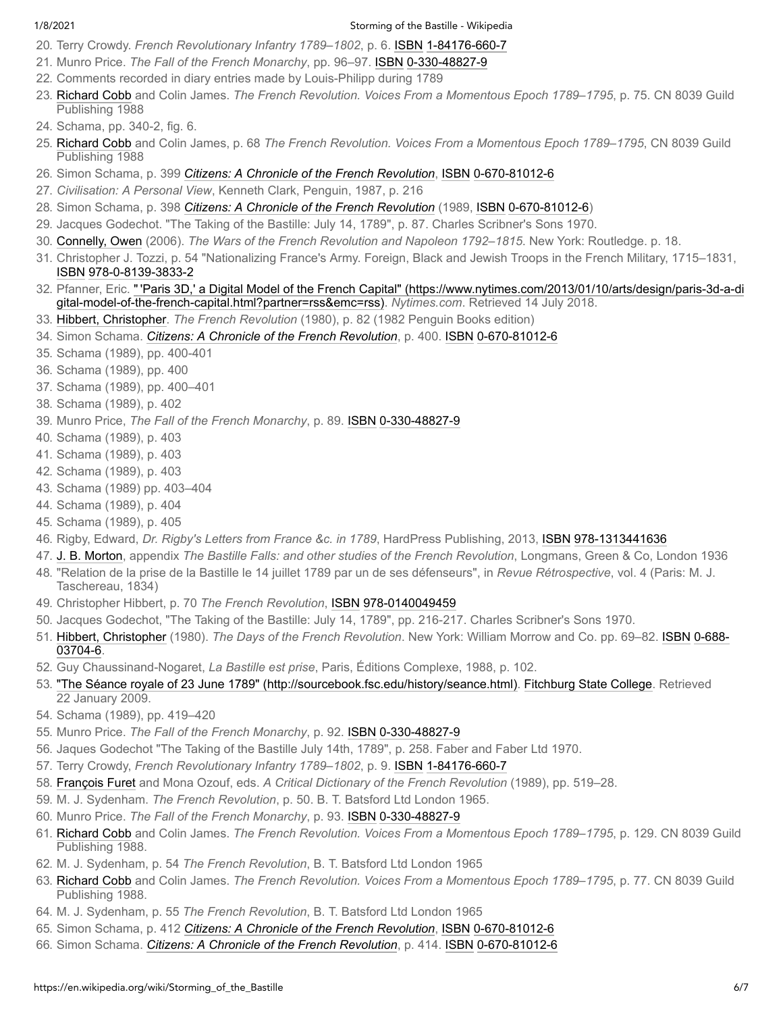- <span id="page-5-0"></span>20. Terry Crowdy. *French Revolutionary Infantry 1789–1802*, p. 6. [ISBN](https://en.wikipedia.org/wiki/ISBN_(identifier)) [1-84176-660-7](https://en.wikipedia.org/wiki/Special:BookSources/1-84176-660-7)
- <span id="page-5-1"></span>21. Munro Price. *The Fall of the French Monarchy*, pp. 96–97. [ISBN](https://en.wikipedia.org/wiki/ISBN_(identifier)) [0-330-48827-9](https://en.wikipedia.org/wiki/Special:BookSources/0-330-48827-9)
- <span id="page-5-2"></span>22. Comments recorded in diary entries made by Louis-Philipp during 1789
- <span id="page-5-3"></span>23. [Richard Cobb](https://en.wikipedia.org/wiki/Richard_Cobb) and Colin James. *The French Revolution. Voices From a Momentous Epoch 1789–1795*, p. 75. CN 8039 Guild Publishing 1988
- <span id="page-5-45"></span>24. Schama, pp. 340-2, fig. 6.
- <span id="page-5-4"></span>25. [Richard Cobb](https://en.wikipedia.org/wiki/Richard_Cobb) and Colin James, p. 68 *The French Revolution. Voices From a Momentous Epoch 1789–1795*, CN 8039 Guild Publishing 1988
- <span id="page-5-5"></span>26. Simon Schama, p. 399 *[Citizens: A Chronicle of the French Revolution](https://en.wikipedia.org/wiki/Citizens:_A_Chronicle_of_the_French_Revolution)*, [ISBN](https://en.wikipedia.org/wiki/ISBN_(identifier)) [0-670-81012-6](https://en.wikipedia.org/wiki/Special:BookSources/0-670-81012-6)
- <span id="page-5-6"></span>27. *Civilisation: A Personal View*, Kenneth Clark, Penguin, 1987, p. 216
- <span id="page-5-7"></span>28. Simon Schama, p. 398 *[Citizens: A Chronicle of the French Revolution](https://en.wikipedia.org/wiki/Citizens:_A_Chronicle_of_the_French_Revolution)* (1989, [ISBN](https://en.wikipedia.org/wiki/ISBN_(identifier)) [0-670-81012-6](https://en.wikipedia.org/wiki/Special:BookSources/0-670-81012-6))
- <span id="page-5-8"></span>29. Jacques Godechot. "The Taking of the Bastille: July 14, 1789", p. 87. Charles Scribner's Sons 1970.
- <span id="page-5-9"></span>30. [Connelly, Owen](https://en.wikipedia.org/wiki/Owen_Connelly) (2006). *The Wars of the French Revolution and Napoleon 1792–1815*. New York: Routledge. p. 18.
- <span id="page-5-10"></span>31. Christopher J. Tozzi, p. 54 "Nationalizing France's Army. Foreign, Black and Jewish Troops in the French Military, 1715–1831, [ISBN](https://en.wikipedia.org/wiki/ISBN_(identifier)) [978-0-8139-3833-2](https://en.wikipedia.org/wiki/Special:BookSources/978-0-8139-3833-2)
- <span id="page-5-26"></span>32. Pfanner, Eric. " ['Paris 3D,' a Digital Model of the French Capital" \(https://www.nytimes.com/2013/01/10/arts/design/paris-3d-a-di](https://www.nytimes.com/2013/01/10/arts/design/paris-3d-a-digital-model-of-the-french-capital.html?partner=rss&emc=rss) gital-model-of-the-french-capital.html?partner=rss&emc=rss). *Nytimes.com*. Retrieved 14 July 2018.
- <span id="page-5-11"></span>33. [Hibbert, Christopher](https://en.wikipedia.org/wiki/Christopher_Hibbert). *The French Revolution* (1980), p. 82 (1982 Penguin Books edition)
- <span id="page-5-12"></span>34. Simon Schama. *[Citizens: A Chronicle of the French Revolution](https://en.wikipedia.org/wiki/Citizens:_A_Chronicle_of_the_French_Revolution)*, p. 400. [ISBN](https://en.wikipedia.org/wiki/ISBN_(identifier)) [0-670-81012-6](https://en.wikipedia.org/wiki/Special:BookSources/0-670-81012-6)
- <span id="page-5-13"></span>35. Schama (1989), pp. 400-401
- <span id="page-5-14"></span>36. Schama (1989), pp. 400
- <span id="page-5-15"></span>37. Schama (1989), pp. 400–401
- <span id="page-5-16"></span>38. Schama (1989), p. 402
- <span id="page-5-17"></span>39. Munro Price, *The Fall of the French Monarchy*, p. 89. [ISBN](https://en.wikipedia.org/wiki/ISBN_(identifier)) [0-330-48827-9](https://en.wikipedia.org/wiki/Special:BookSources/0-330-48827-9)
- <span id="page-5-18"></span>40. Schama (1989), p. 403
- <span id="page-5-19"></span>41. Schama (1989), p. 403
- <span id="page-5-20"></span>42. Schama (1989), p. 403
- <span id="page-5-21"></span>43. Schama (1989) pp. 403–404
- <span id="page-5-22"></span>44. Schama (1989), p. 404
- <span id="page-5-23"></span>45. Schama (1989), p. 405
- <span id="page-5-24"></span>46. Rigby, Edward, *Dr. Rigby's Letters from France &c. in 1789*, HardPress Publishing, 2013, [ISBN](https://en.wikipedia.org/wiki/ISBN_(identifier)) [978-1313441636](https://en.wikipedia.org/wiki/Special:BookSources/978-1313441636)
- <span id="page-5-25"></span>47. [J. B. Morton](https://en.wikipedia.org/wiki/J._B._Morton), appendix *The Bastille Falls: and other studies of the French Revolution*, Longmans, Green & Co, London 1936
- 48. "Relation de la prise de la Bastille le 14 juillet 1789 par un de ses défenseurs", in *Revue Rétrospective*, vol. 4 (Paris: M. J. Taschereau, 1834)
- <span id="page-5-27"></span>49. Christopher Hibbert, p. 70 *The French Revolution*, [ISBN](https://en.wikipedia.org/wiki/ISBN_(identifier)) [978-0140049459](https://en.wikipedia.org/wiki/Special:BookSources/978-0140049459)
- <span id="page-5-28"></span>50. Jacques Godechot, "The Taking of the Bastille: July 14, 1789", pp. 216-217. Charles Scribner's Sons 1970.
- <span id="page-5-29"></span>51. [Hibbert, Christopher](https://en.wikipedia.org/wiki/Christopher_Hibbert) (1980). *The Days of the French Revolution*[. New York: William Morrow and Co. pp. 69–82. I](https://en.wikipedia.org/wiki/Special:BookSources/0-688-03704-6)[SBN](https://en.wikipedia.org/wiki/ISBN_(identifier)) 0-688- 03704-6.
- <span id="page-5-30"></span>52. Guy Chaussinand-Nogaret, *La Bastille est prise*, Paris, Éditions Complexe, 1988, p. 102.
- <span id="page-5-31"></span>53. ["The Séance royale of 23 June 1789" \(http://sourcebook.fsc.edu/history/seance.html\)](http://sourcebook.fsc.edu/history/seance.html). [Fitchburg State College.](https://en.wikipedia.org/wiki/Fitchburg_State_College) Retrieved 22 January 2009.
- <span id="page-5-32"></span>54. Schama (1989), pp. 419–420
- <span id="page-5-33"></span>55. Munro Price. *The Fall of the French Monarchy*, p. 92. [ISBN](https://en.wikipedia.org/wiki/ISBN_(identifier)) [0-330-48827-9](https://en.wikipedia.org/wiki/Special:BookSources/0-330-48827-9)
- <span id="page-5-34"></span>56. Jaques Godechot "The Taking of the Bastille July 14th, 1789", p. 258. Faber and Faber Ltd 1970.
- <span id="page-5-35"></span>57. Terry Crowdy, *French Revolutionary Infantry 1789–1802*, p. 9. [ISBN](https://en.wikipedia.org/wiki/ISBN_(identifier)) [1-84176-660-7](https://en.wikipedia.org/wiki/Special:BookSources/1-84176-660-7)
- <span id="page-5-36"></span>58. [François Furet](https://en.wikipedia.org/wiki/Fran%C3%A7ois_Furet) and Mona Ozouf, eds. *A Critical Dictionary of the French Revolution* (1989), pp. 519–28.
- <span id="page-5-37"></span>59. M. J. Sydenham. *The French Revolution*, p. 50. B. T. Batsford Ltd London 1965.
- <span id="page-5-38"></span>60. Munro Price. *The Fall of the French Monarchy*, p. 93. [ISBN](https://en.wikipedia.org/wiki/ISBN_(identifier)) [0-330-48827-9](https://en.wikipedia.org/wiki/Special:BookSources/0-330-48827-9)
- <span id="page-5-39"></span>61. [Richard Cobb](https://en.wikipedia.org/wiki/Richard_Cobb) and Colin James. *The French Revolution. Voices From a Momentous Epoch 1789–1795*, p. 129. CN 8039 Guild Publishing 1988.
- <span id="page-5-40"></span>62. M. J. Sydenham, p. 54 *The French Revolution*, B. T. Batsford Ltd London 1965
- <span id="page-5-41"></span>63. [Richard Cobb](https://en.wikipedia.org/wiki/Richard_Cobb) and Colin James. *The French Revolution. Voices From a Momentous Epoch 1789–1795*, p. 77. CN 8039 Guild Publishing 1988.
- <span id="page-5-42"></span>64. M. J. Sydenham, p. 55 *The French Revolution*, B. T. Batsford Ltd London 1965
- <span id="page-5-43"></span>65. Simon Schama, p. 412 *[Citizens: A Chronicle of the French Revolution](https://en.wikipedia.org/wiki/Citizens:_A_Chronicle_of_the_French_Revolution)*, [ISBN](https://en.wikipedia.org/wiki/ISBN_(identifier)) [0-670-81012-6](https://en.wikipedia.org/wiki/Special:BookSources/0-670-81012-6)
- <span id="page-5-44"></span>66. Simon Schama. *[Citizens: A Chronicle of the French Revolution](https://en.wikipedia.org/wiki/Citizens:_A_Chronicle_of_the_French_Revolution)*, p. 414. [ISBN](https://en.wikipedia.org/wiki/ISBN_(identifier)) [0-670-81012-6](https://en.wikipedia.org/wiki/Special:BookSources/0-670-81012-6)